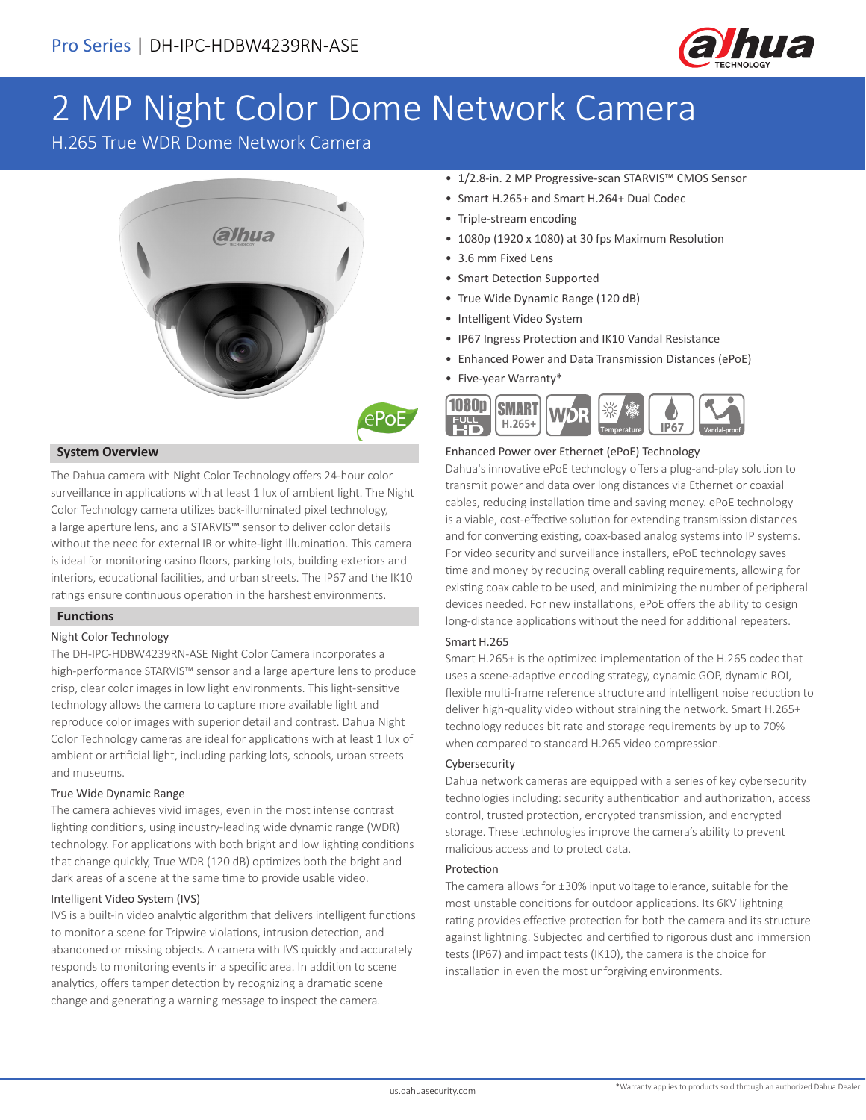

# 2 MP Night Color Dome Network Camera

H.265 True WDR Dome Network Camera



# **System Overview**

The Dahua camera with Night Color Technology offers 24-hour color surveillance in applications with at least 1 lux of ambient light. The Night Color Technology camera utilizes back-illuminated pixel technology, a large aperture lens, and a STARVIS™ sensor to deliver color details without the need for external IR or white-light illumination. This camera is ideal for monitoring casino floors, parking lots, building exteriors and interiors, educational facilities, and urban streets. The IP67 and the IK10 ratings ensure continuous operation in the harshest environments.

## **Functions**

## Night Color Technology

The DH-IPC-HDBW4239RN-ASE Night Color Camera incorporates a high-performance STARVIS™ sensor and a large aperture lens to produce crisp, clear color images in low light environments. This light-sensitive technology allows the camera to capture more available light and reproduce color images with superior detail and contrast. Dahua Night Color Technology cameras are ideal for applications with at least 1 lux of ambient or artificial light, including parking lots, schools, urban streets and museums.

## True Wide Dynamic Range

The camera achieves vivid images, even in the most intense contrast lighting conditions, using industry-leading wide dynamic range (WDR) technology. For applications with both bright and low lighting conditions that change quickly, True WDR (120 dB) optimizes both the bright and dark areas of a scene at the same time to provide usable video.

#### Intelligent Video System (IVS)

IVS is a built-in video analytic algorithm that delivers intelligent functions to monitor a scene for Tripwire violations, intrusion detection, and abandoned or missing objects. A camera with IVS quickly and accurately responds to monitoring events in a specific area. In addition to scene analytics, offers tamper detection by recognizing a dramatic scene change and generating a warning message to inspect the camera.

- 1/2.8-in. 2 MP Progressive-scan STARVIS™ CMOS Sensor
- Smart H.265+ and Smart H.264+ Dual Codec
- Triple-stream encoding
- 1080p (1920 x 1080) at 30 fps Maximum Resolution
- 3.6 mm Fixed Lens
- Smart Detection Supported
- True Wide Dynamic Range (120 dB)
- Intelligent Video System
- IP67 Ingress Protection and IK10 Vandal Resistance
- Enhanced Power and Data Transmission Distances (ePoE)
- Five-year Warranty\*



### Enhanced Power over Ethernet (ePoE) Technology

Dahua's innovative ePoE technology offers a plug-and-play solution to transmit power and data over long distances via Ethernet or coaxial cables, reducing installation time and saving money. ePoE technology is a viable, cost-effective solution for extending transmission distances and for converting existing, coax-based analog systems into IP systems. For video security and surveillance installers, ePoE technology saves time and money by reducing overall cabling requirements, allowing for existing coax cable to be used, and minimizing the number of peripheral devices needed. For new installations, ePoE offers the ability to design long-distance applications without the need for additional repeaters.

#### Smart H.265

Smart H.265+ is the optimized implementation of the H.265 codec that uses a scene-adaptive encoding strategy, dynamic GOP, dynamic ROI, flexible multi-frame reference structure and intelligent noise reduction to deliver high-quality video without straining the network. Smart H.265+ technology reduces bit rate and storage requirements by up to 70% when compared to standard H.265 video compression.

#### Cybersecurity

Dahua network cameras are equipped with a series of key cybersecurity technologies including: security authentication and authorization, access control, trusted protection, encrypted transmission, and encrypted storage. These technologies improve the camera's ability to prevent malicious access and to protect data.

### Protection

The camera allows for ±30% input voltage tolerance, suitable for the most unstable conditions for outdoor applications. Its 6KV lightning rating provides effective protection for both the camera and its structure against lightning. Subjected and certified to rigorous dust and immersion tests (IP67) and impact tests (IK10), the camera is the choice for installation in even the most unforgiving environments.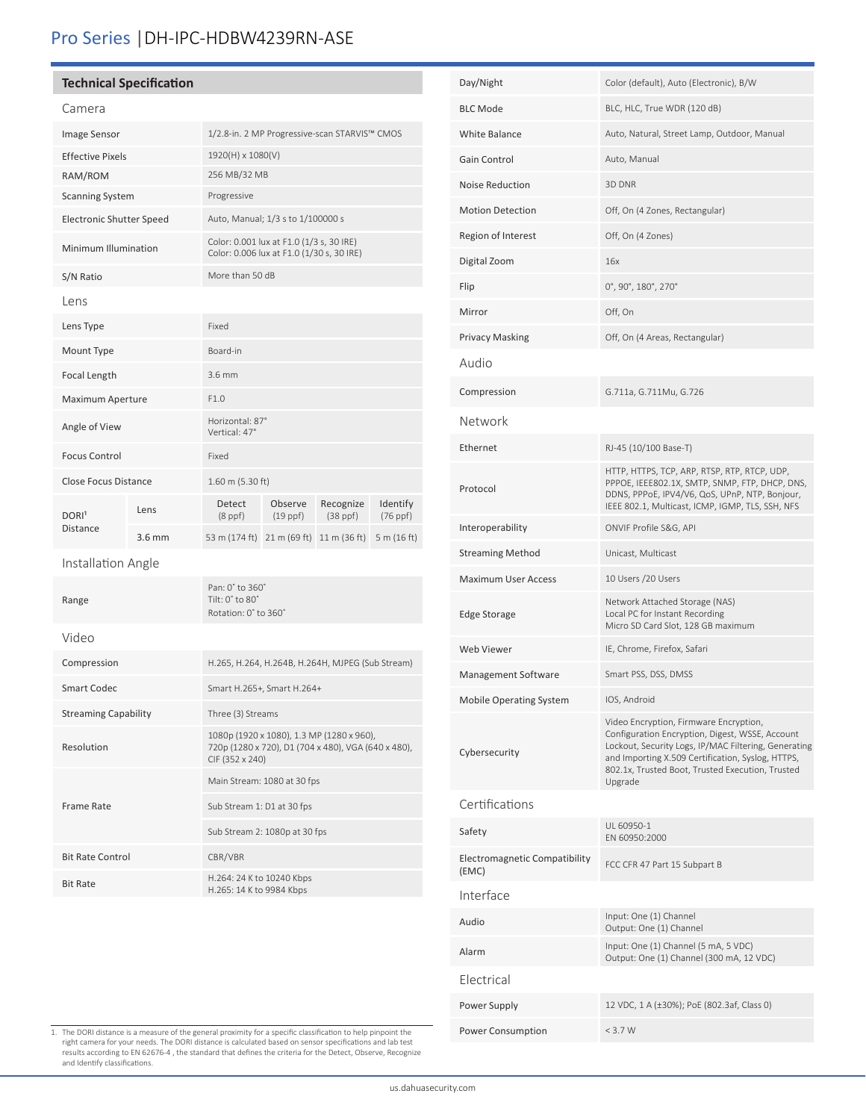# Pro Series |DH-IPC-HDBW4239RN-ASE

# **Technical Specification**

| Callicia                        |          |                                                                                                                     |                                                                                       |                            |                           |  |
|---------------------------------|----------|---------------------------------------------------------------------------------------------------------------------|---------------------------------------------------------------------------------------|----------------------------|---------------------------|--|
| Image Sensor                    |          | 1/2.8-in. 2 MP Progressive-scan STARVIS™ CMOS                                                                       |                                                                                       |                            |                           |  |
| <b>Effective Pixels</b>         |          | 1920(H) x 1080(V)                                                                                                   |                                                                                       |                            |                           |  |
| RAM/ROM                         |          | 256 MB/32 MB                                                                                                        |                                                                                       |                            |                           |  |
| <b>Scanning System</b>          |          | Progressive                                                                                                         |                                                                                       |                            |                           |  |
| <b>Electronic Shutter Speed</b> |          |                                                                                                                     | Auto, Manual; 1/3 s to 1/100000 s                                                     |                            |                           |  |
| Minimum Illumination            |          |                                                                                                                     | Color: 0.001 lux at F1.0 (1/3 s, 30 IRE)<br>Color: 0.006 lux at F1.0 (1/30 s, 30 IRE) |                            |                           |  |
| S/N Ratio                       |          | More than 50 dB                                                                                                     |                                                                                       |                            |                           |  |
| Lens                            |          |                                                                                                                     |                                                                                       |                            |                           |  |
| Lens Type                       |          | Fixed                                                                                                               |                                                                                       |                            |                           |  |
| Mount Type                      |          | Board-in                                                                                                            |                                                                                       |                            |                           |  |
| Focal Length                    |          | 3.6 mm                                                                                                              |                                                                                       |                            |                           |  |
| Maximum Aperture                |          | F1.0                                                                                                                |                                                                                       |                            |                           |  |
| Angle of View                   |          | Horizontal: 87°<br>Vertical: 47°                                                                                    |                                                                                       |                            |                           |  |
| <b>Focus Control</b>            |          | Fixed                                                                                                               |                                                                                       |                            |                           |  |
| Close Focus Distance            |          | 1.60 m (5.30 ft)                                                                                                    |                                                                                       |                            |                           |  |
| DORI <sup>1</sup>               | Lens     | Detect<br>$(8$ ppf $)$                                                                                              | Observe<br>$(19$ ppf $)$                                                              | Recognize<br>$(38$ ppf $)$ | Identify<br>$(76$ ppf $)$ |  |
| Distance                        | $3.6$ mm | 53 m (174 ft) 21 m (69 ft) 11 m (36 ft)                                                                             |                                                                                       |                            | 5 m $(16 ft)$             |  |
| Installation Angle              |          |                                                                                                                     |                                                                                       |                            |                           |  |
| Range                           |          | Pan: 0° to 360°<br>Tilt: 0° to 80°<br>Rotation: 0° to 360°                                                          |                                                                                       |                            |                           |  |
| Video                           |          |                                                                                                                     |                                                                                       |                            |                           |  |
| Compression                     |          | H.265, H.264, H.264B, H.264H, MJPEG (Sub Stream)                                                                    |                                                                                       |                            |                           |  |
| <b>Smart Codec</b>              |          | Smart H.265+, Smart H.264+                                                                                          |                                                                                       |                            |                           |  |
| <b>Streaming Capability</b>     |          | Three (3) Streams                                                                                                   |                                                                                       |                            |                           |  |
| Resolution                      |          | 1080p (1920 x 1080), 1.3 MP (1280 x 960),<br>720p (1280 x 720), D1 (704 x 480), VGA (640 x 480),<br>CIF (352 x 240) |                                                                                       |                            |                           |  |
|                                 |          | Main Stream: 1080 at 30 fps                                                                                         |                                                                                       |                            |                           |  |
| Frame Rate                      |          | Sub Stream 1: D1 at 30 fps                                                                                          |                                                                                       |                            |                           |  |
|                                 |          | Sub Stream 2: 1080p at 30 fps                                                                                       |                                                                                       |                            |                           |  |
| <b>Bit Rate Control</b>         |          | CBR/VBR                                                                                                             |                                                                                       |                            |                           |  |
| <b>Bit Rate</b>                 |          | H.264: 24 K to 10240 Kbps<br>H.265: 14 K to 9984 Kbps                                                               |                                                                                       |                            |                           |  |

| Day/Night                              | Color (default), Auto (Electronic), B/W                                                                                                                                                                                                                               |
|----------------------------------------|-----------------------------------------------------------------------------------------------------------------------------------------------------------------------------------------------------------------------------------------------------------------------|
| <b>BLC Mode</b>                        | BLC, HLC, True WDR (120 dB)                                                                                                                                                                                                                                           |
| White Balance                          | Auto, Natural, Street Lamp, Outdoor, Manual                                                                                                                                                                                                                           |
| Gain Control                           | Auto, Manual                                                                                                                                                                                                                                                          |
| Noise Reduction                        | 3D DNR                                                                                                                                                                                                                                                                |
| <b>Motion Detection</b>                | Off, On (4 Zones, Rectangular)                                                                                                                                                                                                                                        |
| Region of Interest                     | Off, On (4 Zones)                                                                                                                                                                                                                                                     |
| Digital Zoom                           | 16x                                                                                                                                                                                                                                                                   |
| Flip                                   | 0°, 90°, 180°, 270°                                                                                                                                                                                                                                                   |
| Mirror                                 | Off, On                                                                                                                                                                                                                                                               |
| <b>Privacy Masking</b>                 | Off, On (4 Areas, Rectangular)                                                                                                                                                                                                                                        |
| Audio                                  |                                                                                                                                                                                                                                                                       |
| Compression                            | G.711a, G.711Mu, G.726                                                                                                                                                                                                                                                |
| Network                                |                                                                                                                                                                                                                                                                       |
| Ethernet                               | RJ-45 (10/100 Base-T)                                                                                                                                                                                                                                                 |
| Protocol                               | HTTP, HTTPS, TCP, ARP, RTSP, RTP, RTCP, UDP,<br>PPPOE, IEEE802.1X, SMTP, SNMP, FTP, DHCP, DNS,<br>DDNS, PPPoE, IPV4/V6, QoS, UPnP, NTP, Bonjour,<br>IEEE 802.1, Multicast, ICMP, IGMP, TLS, SSH, NFS                                                                  |
| Interoperability                       | ONVIF Profile S&G, API                                                                                                                                                                                                                                                |
| <b>Streaming Method</b>                | Unicast, Multicast                                                                                                                                                                                                                                                    |
| <b>Maximum User Access</b>             | 10 Users /20 Users                                                                                                                                                                                                                                                    |
| <b>Edge Storage</b>                    | Network Attached Storage (NAS)<br>Local PC for Instant Recording<br>Micro SD Card Slot, 128 GB maximum                                                                                                                                                                |
| Web Viewer                             | IE, Chrome, Firefox, Safari                                                                                                                                                                                                                                           |
| Management Software                    | Smart PSS, DSS, DMSS                                                                                                                                                                                                                                                  |
| Mobile Operating System                | IOS, Android                                                                                                                                                                                                                                                          |
| Cybersecurity                          | Video Encryption, Firmware Encryption,<br>Configuration Encryption, Digest, WSSE, Account<br>Lockout, Security Logs, IP/MAC Filtering, Generating<br>and Importing X.509 Certification, Syslog, HTTPS,<br>802.1x, Trusted Boot, Trusted Execution, Trusted<br>Upgrade |
| Certifications                         |                                                                                                                                                                                                                                                                       |
| Safety                                 | UL 60950-1<br>EN 60950:2000                                                                                                                                                                                                                                           |
| Electromagnetic Compatibility<br>(EMC) | FCC CFR 47 Part 15 Subpart B                                                                                                                                                                                                                                          |
| Interface                              |                                                                                                                                                                                                                                                                       |
| Audio                                  | Input: One (1) Channel<br>Output: One (1) Channel                                                                                                                                                                                                                     |
| Alarm                                  | Input: One (1) Channel (5 mA, 5 VDC)<br>Output: One (1) Channel (300 mA, 12 VDC)                                                                                                                                                                                      |
| Electrical                             |                                                                                                                                                                                                                                                                       |
| Power Supply                           | 12 VDC, 1 A (±30%); PoE (802.3af, Class 0)                                                                                                                                                                                                                            |
| Power Consumption                      | < 3.7 W                                                                                                                                                                                                                                                               |

1. The DORI distance is a measure of the general proximity for a specific classification to help pinpoint the<br>right camera for your needs. The DORI distance is calculated based on sensor specifications and lab test<br>results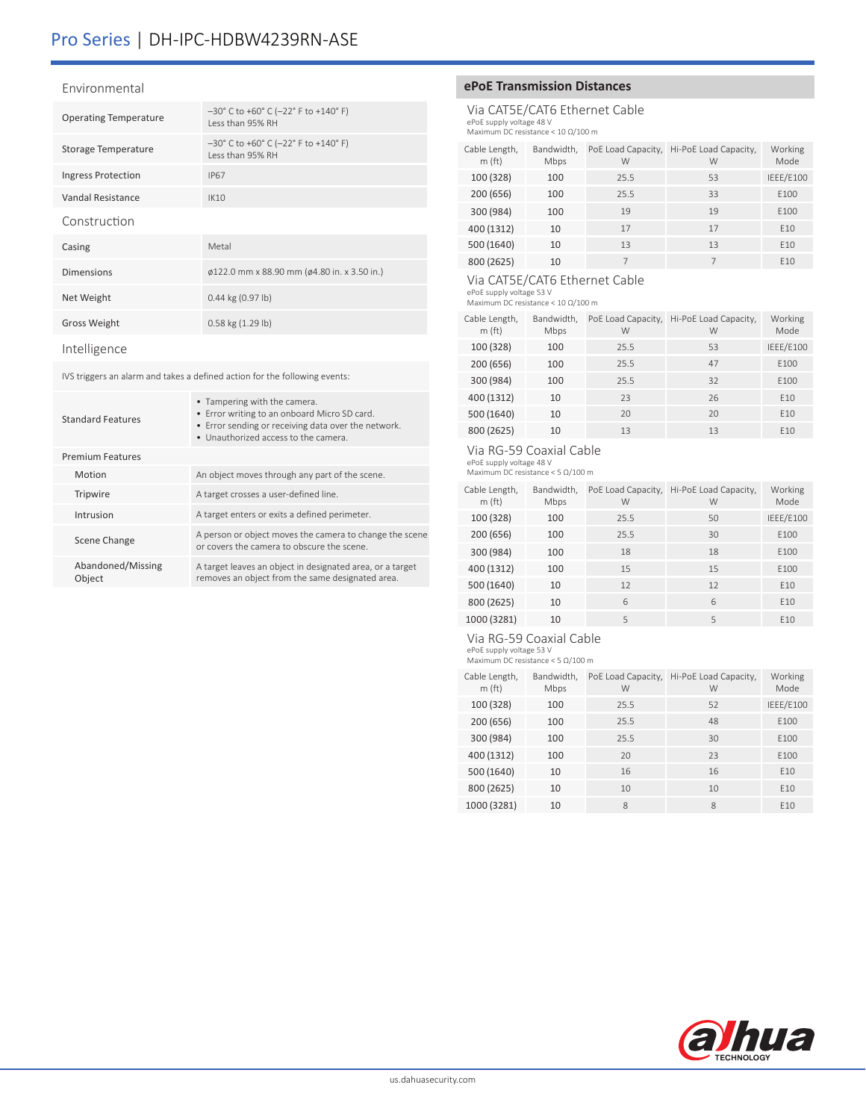# Pro Series | DH-IPC-HDBW4239RN-ASE

#### Environmental

| <b>Operating Temperature</b> | $-30^{\circ}$ C to +60° C (-22° F to +140° F)<br>Less than 95% RH |
|------------------------------|-------------------------------------------------------------------|
| Storage Temperature          | $-30^{\circ}$ C to +60° C (-22° F to +140° F)<br>Less than 95% RH |
| <b>Ingress Protection</b>    | <b>IP67</b>                                                       |
| Vandal Resistance            | IK10                                                              |
| Construction                 |                                                                   |
| Casing                       | Metal                                                             |
| <b>Dimensions</b>            | $\varphi$ 122.0 mm x 88.90 mm ( $\varphi$ 4.80 in. x 3.50 in.)    |
| Net Weight                   | $0.44$ kg $(0.97$ lb)                                             |
| <b>Gross Weight</b>          | $0.58$ kg $(1.29$ lb)                                             |
|                              |                                                                   |

Intelligence

IVS triggers an alarm and takes a defined action for the following events:

| Standard Features           | • Tampering with the camera.<br>• Error writing to an onboard Micro SD card.<br>• Error sending or receiving data over the network.<br>• Unauthorized access to the camera. |
|-----------------------------|-----------------------------------------------------------------------------------------------------------------------------------------------------------------------------|
| <b>Premium Features</b>     |                                                                                                                                                                             |
| Motion                      | An object moves through any part of the scene.                                                                                                                              |
| Tripwire                    | A target crosses a user-defined line.                                                                                                                                       |
| Intrusion                   | A target enters or exits a defined perimeter.                                                                                                                               |
| Scene Change                | A person or object moves the camera to change the scene<br>or covers the camera to obscure the scene                                                                        |
| Abandoned/Missing<br>Object | A target leaves an object in designated area, or a target<br>removes an object from the same designated area.                                                               |
|                             |                                                                                                                                                                             |

# **ePoE Transmission Distances**

Via CAT5E/CAT6 Ethernet Cable ePoE supply voltage 48 V Maximum DC resistance < 10 Ω/100 m

| Cable Length,<br>m(ft) | Bandwidth,<br>Mbps | PoE Load Capacity,<br>W | Hi-PoE Load Capacity,<br>W | Working<br>Mode |
|------------------------|--------------------|-------------------------|----------------------------|-----------------|
| 100 (328)              | 100                | 25.5                    | 53                         | IEEE/E100       |
| 200 (656)              | 100                | 25.5                    | 33                         | E100            |
| 300 (984)              | 100                | 19                      | 19                         | E100            |
| 400 (1312)             | 10                 | 17                      | 17                         | F <sub>10</sub> |
| 500 (1640)             | 10                 | 13                      | 13                         | E10             |
| 800 (2625)             | 10                 |                         |                            | F <sub>10</sub> |

# Via CAT5E/CAT6 Ethernet Cable

ePoE supply voltage 53 V Maximum DC resistance < 10 Ω/100 m

| Cable Length,<br>m(ft) | Bandwidth,<br>Mbps | PoE Load Capacity,<br>W | Hi-PoE Load Capacity,<br>W | Working<br>Mode |
|------------------------|--------------------|-------------------------|----------------------------|-----------------|
| 100 (328)              | 100                | 25.5                    | 53                         | IEEE/E100       |
| 200 (656)              | 100                | 25.5                    | 47                         | E100            |
| 300 (984)              | 100                | 25.5                    | 32                         | E100            |
| 400 (1312)             | 10                 | 23                      | 26                         | E10             |
| 500 (1640)             | 10                 | 20                      | 20                         | E10             |
| 800 (2625)             | 10                 | 13                      | 13                         | E10             |

## Via RG-59 Coaxial Cable

ePoE supply voltage 48 V Maximum DC resistance < 5 Ω/100 m

| Cable Length,<br>m(ft) | Bandwidth,<br>Mbps | PoE Load Capacity,<br>W | Hi-PoE Load Capacity,<br>W | Working<br>Mode  |
|------------------------|--------------------|-------------------------|----------------------------|------------------|
| 100 (328)              | 100                | 25.5                    | 50                         | IEEE/E100        |
| 200 (656)              | 100                | 25.5                    | 30                         | F <sub>100</sub> |
| 300 (984)              | 100                | 18                      | 18                         | E100             |
| 400 (1312)             | 100                | 15                      | 15                         | F100             |
| 500 (1640)             | 10                 | 12                      | 12                         | F <sub>10</sub>  |
| 800 (2625)             | 10                 | 6                       | 6                          | E10              |
| 1000 (3281)            | 10                 | 5                       | 5                          | F <sub>10</sub>  |

## Via RG-59 Coaxial Cable

ePoE supply voltage 53 V Maximum DC resistance < 5 Ω/100 m

| Cable Length,<br>m(ft) | Bandwidth,<br>Mbps | PoE Load Capacity,<br>W | Hi-PoE Load Capacity,<br>W | Working<br>Mode  |
|------------------------|--------------------|-------------------------|----------------------------|------------------|
| 100 (328)              | 100                | 25.5                    | 52                         | IEEE/E100        |
| 200 (656)              | 100                | 25.5                    | 48                         | F100             |
| 300 (984)              | 100                | 25.5                    | 30                         | F <sub>100</sub> |
| 400 (1312)             | 100                | 20                      | 23                         | F <sub>100</sub> |
| 500 (1640)             | 10                 | 16                      | 16                         | F <sub>10</sub>  |
| 800 (2625)             | 10                 | 10                      | 10                         | F <sub>10</sub>  |
| 1000 (3281)            | 10                 | 8                       | 8                          | F <sub>10</sub>  |
|                        |                    |                         |                            |                  |